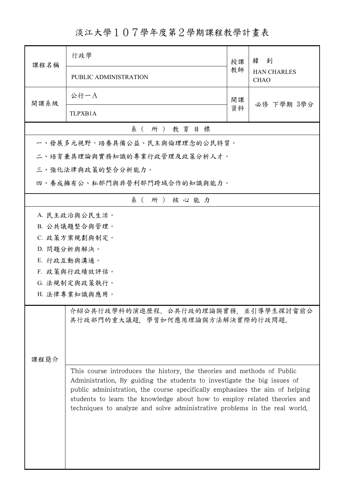淡江大學107學年度第2學期課程教學計畫表

| 課程名稱                         | 行政學                                                                                                                                                                                                                                                                                                                                                                                          | 授課       | 韓釗<br><b>HAN CHARLES</b><br><b>CHAO</b> |  |  |  |
|------------------------------|----------------------------------------------------------------------------------------------------------------------------------------------------------------------------------------------------------------------------------------------------------------------------------------------------------------------------------------------------------------------------------------------|----------|-----------------------------------------|--|--|--|
|                              | PUBLIC ADMINISTRATION                                                                                                                                                                                                                                                                                                                                                                        | 教師       |                                         |  |  |  |
| 開課系級                         | 公行一A                                                                                                                                                                                                                                                                                                                                                                                         | 開課<br>資料 | 必修 下學期 3學分                              |  |  |  |
|                              | TLPXB1A                                                                                                                                                                                                                                                                                                                                                                                      |          |                                         |  |  |  |
| 系(所)教育目標                     |                                                                                                                                                                                                                                                                                                                                                                                              |          |                                         |  |  |  |
|                              | 一、發展多元視野,培養具備公益、民主與倫理理念的公民特質。                                                                                                                                                                                                                                                                                                                                                                |          |                                         |  |  |  |
|                              | 二、培育兼具理論與實務知識的專業行政管理及政策分析人才。                                                                                                                                                                                                                                                                                                                                                                 |          |                                         |  |  |  |
|                              | 三、強化法律與政策的整合分析能力。                                                                                                                                                                                                                                                                                                                                                                            |          |                                         |  |  |  |
| 四、養成擁有公、私部門與非營利部門跨域合作的知識與能力。 |                                                                                                                                                                                                                                                                                                                                                                                              |          |                                         |  |  |  |
| 系(所)核心能力                     |                                                                                                                                                                                                                                                                                                                                                                                              |          |                                         |  |  |  |
|                              | A. 民主政治與公民生活。                                                                                                                                                                                                                                                                                                                                                                                |          |                                         |  |  |  |
|                              | B. 公共議題整合與管理。                                                                                                                                                                                                                                                                                                                                                                                |          |                                         |  |  |  |
|                              | C. 政策方案規劃與制定。                                                                                                                                                                                                                                                                                                                                                                                |          |                                         |  |  |  |
|                              | D. 問題分析與解決。                                                                                                                                                                                                                                                                                                                                                                                  |          |                                         |  |  |  |
|                              | E. 行政互動與溝通。                                                                                                                                                                                                                                                                                                                                                                                  |          |                                         |  |  |  |
|                              | F. 政策與行政績效評估。                                                                                                                                                                                                                                                                                                                                                                                |          |                                         |  |  |  |
| G. 法規制定與政策執行。                |                                                                                                                                                                                                                                                                                                                                                                                              |          |                                         |  |  |  |
| H. 法律專業知識與應用。                |                                                                                                                                                                                                                                                                                                                                                                                              |          |                                         |  |  |  |
|                              | 介紹公共行政學科的演進歷程、公共行政的理論與實務,並引導學生探討當前公<br>共行政部門的重大議題、學習如何應用理論與方法解決實際的行政問題。                                                                                                                                                                                                                                                                                                                      |          |                                         |  |  |  |
| 课程简介                         |                                                                                                                                                                                                                                                                                                                                                                                              |          |                                         |  |  |  |
|                              | This course introduces the history, the theories and methods of Public<br>Administration. By guiding the students to investigate the big issues of<br>public administration, the course specifically emphasizes the aim of helping<br>students to learn the knowledge about how to employ related theories and<br>techniques to analyze and solve administrative problems in the real world. |          |                                         |  |  |  |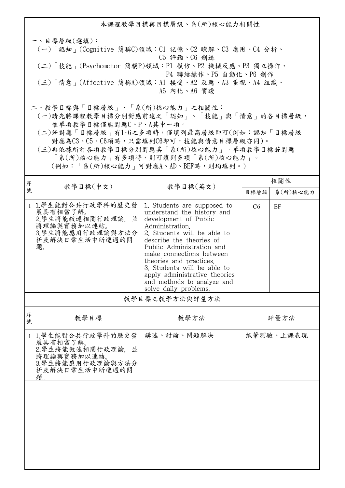本課程教學目標與目標層級、系(所)核心能力相關性 一、目標層級(選填): (一)「認知」(Cognitive 簡稱C)領域:C1 記憶、C2 瞭解、C3 應用、C4 分析、 C5 評鑑、C6 創造 (二)「技能」(Psychomotor 簡稱P)領域:P1 模仿、P2 機械反應、P3 獨立操作、 P4 聯結操作、P5 自動化、P6 創作 (三)「情意」(Affective 簡稱A)領域:A1 接受、A2 反應、A3 重視、A4 組織、 A5 內化、A6 實踐 二、教學目標與「目標層級」、「系(所)核心能力」之相關性:

 (一)請先將課程教學目標分別對應前述之「認知」、「技能」與「情意」的各目標層級, 惟單項教學目標僅能對應C、P、A其中一項。

 (二)若對應「目標層級」有1~6之多項時,僅填列最高層級即可(例如:認知「目標層級」 對應為C3、C5、C6項時,只需填列C6即可,技能與情意目標層級亦同)。

 (三)再依據所訂各項教學目標分別對應其「系(所)核心能力」。單項教學目標若對應 「系(所)核心能力」有多項時,則可填列多項「系(所)核心能力」。

(例如:「系(所)核心能力」可對應A、AD、BEF時,則均填列。)

| 序            | 教學目標(中文)                                                                                                        | 教學目標(英文)                                                                                                                                                                                                                                                                                                                                                                    | 相關性  |           |
|--------------|-----------------------------------------------------------------------------------------------------------------|-----------------------------------------------------------------------------------------------------------------------------------------------------------------------------------------------------------------------------------------------------------------------------------------------------------------------------------------------------------------------------|------|-----------|
| 號            |                                                                                                                 |                                                                                                                                                                                                                                                                                                                                                                             | 目標層級 | 系(所)核心能力  |
| $\mathbf{1}$ | 1.學生能對公共行政學科的歷史發<br>展具有相當了解。<br>2.學生將能敘述相關行政理論,並<br>將理論與實務加以連結。<br>3.學生將能應用行政理論與方法分<br>析及解決日常生活中所遭遇的問<br>題。     | 1. Students are supposed to<br>understand the history and<br>development of Public<br>Administration.<br>2. Students will be able to<br>describe the theories of<br>Public Administration and<br>make connections between<br>theories and practices.<br>3. Students will be able to<br>apply administrative theories<br>and methods to analyze and<br>solve daily problems. | C6   | EF        |
|              |                                                                                                                 | 教學目標之教學方法與評量方法                                                                                                                                                                                                                                                                                                                                                              |      |           |
| 序<br>號       | 教學目標                                                                                                            | 教學方法                                                                                                                                                                                                                                                                                                                                                                        | 評量方法 |           |
| $\mathbf{1}$ | 1.學生能對公共行政學科的歷史發<br>展具有相當了解。<br>2.學生將能敘述相關行政理論,<br>並<br>將理論與實務加以連結。<br>3.學生將能應用行政理論與方法分<br>析及解決日常生活中所遭遇的問<br>題。 | 講述、討論、問題解決                                                                                                                                                                                                                                                                                                                                                                  |      | 紙筆測驗、上課表現 |
|              |                                                                                                                 |                                                                                                                                                                                                                                                                                                                                                                             |      |           |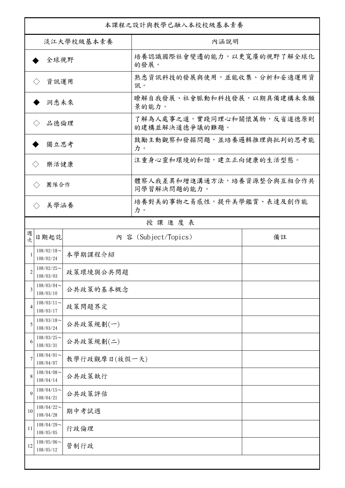| 本課程之設計與教學已融入本校校級基本素養                         |               |                                              |    |  |  |
|----------------------------------------------|---------------|----------------------------------------------|----|--|--|
| 淡江大學校級基本素養                                   |               | 內涵說明                                         |    |  |  |
| 全球視野                                         |               | 培養認識國際社會變遷的能力,以更寬廣的視野了解全球化<br>的發展。           |    |  |  |
| 資訊運用<br>$\langle \ \rangle$                  |               | 熟悉資訊科技的發展與使用,並能收集、分析和妥適運用資<br>訊。             |    |  |  |
| 洞悉未來                                         |               | 瞭解自我發展、社會脈動和科技發展,以期具備建構未來願<br>景的能力。          |    |  |  |
| 品德倫理                                         |               | 了解為人處事之道,實踐同理心和關懷萬物,反省道德原則<br>的建構並解決道德爭議的難題。 |    |  |  |
| 獨立思考                                         |               | 鼓勵主動觀察和發掘問題,並培養邏輯推理與批判的思考能<br>力。             |    |  |  |
| 樂活健康<br>$\langle \rangle$                    |               | 注重身心靈和環境的和諧,建立正向健康的生活型態。                     |    |  |  |
| 團隊合作<br>$\langle \ \rangle$                  |               | 體察人我差異和增進溝通方法,培養資源整合與互相合作共<br>同學習解決問題的能力。    |    |  |  |
| 美學涵養<br>$\langle \rangle$                    |               | 培養對美的事物之易感性,提升美學鑑賞、表達及創作能<br>力。              |    |  |  |
|                                              |               | 授課進度表                                        |    |  |  |
| 週<br>日期起訖<br>欤                               |               | 内 容 (Subject/Topics)                         | 備註 |  |  |
| $108/02/18$ ~<br>108/02/24                   | 本學期課程介紹       |                                              |    |  |  |
| $108/02/25$ ~<br>2<br>108/03/03              | 政策環境與公共問題     |                                              |    |  |  |
| $108/03/04$ ~<br>3<br>108/03/10              | 公共政策的基本概念     |                                              |    |  |  |
| $108/03/11$ ~<br>4<br>108/03/17              | 政策問題界定        |                                              |    |  |  |
| $108/03/18$ ~<br>公共政策規劃(一)<br>5<br>108/03/24 |               |                                              |    |  |  |
| $108/03/25$ ~<br>公共政策規劃(二)<br>6<br>108/03/31 |               |                                              |    |  |  |
| $108/04/01$ ~<br>7<br>108/04/07              | 教學行政觀摩日(放假一天) |                                              |    |  |  |
| $108/04/08$ ~<br>8<br>108/04/14              | 公共政策執行        |                                              |    |  |  |
| $108/04/15$ ~<br>9<br>108/04/21              | 公共政策評估        |                                              |    |  |  |
| $108/04/22$ ~<br>10<br>108/04/28             | 期中考試週         |                                              |    |  |  |
| $108/04/29$ ~<br>11<br>108/05/05             | 行政倫理          |                                              |    |  |  |
| $108/05/06$ ~<br>12<br>108/05/12             | 管制行政          |                                              |    |  |  |
|                                              |               |                                              |    |  |  |